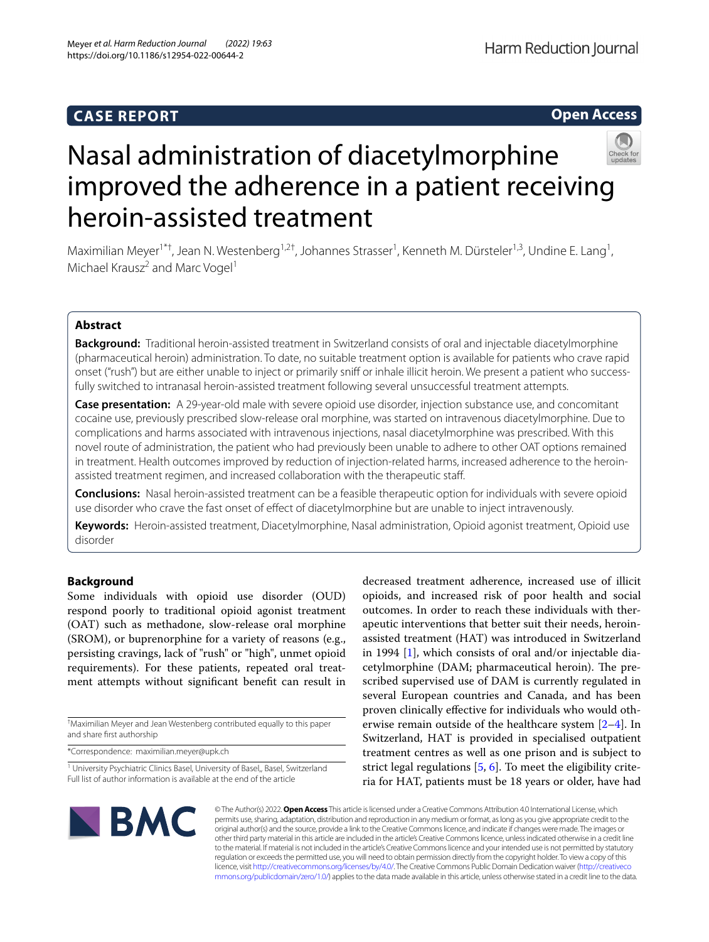# **CASE REPORT**

**Open Access**



# Nasal administration of diacetylmorphine improved the adherence in a patient receiving heroin-assisted treatment

Maximilian Meyer<sup>1\*†</sup>, Jean N. Westenberg<sup>1,2†</sup>, Johannes Strasser<sup>1</sup>, Kenneth M. Dürsteler<sup>1,3</sup>, Undine E. Lang<sup>1</sup>, Michael Krausz<sup>2</sup> and Marc Vogel<sup>1</sup>

# **Abstract**

**Background:** Traditional heroin-assisted treatment in Switzerland consists of oral and injectable diacetylmorphine (pharmaceutical heroin) administration. To date, no suitable treatment option is available for patients who crave rapid onset ("rush") but are either unable to inject or primarily snif or inhale illicit heroin. We present a patient who successfully switched to intranasal heroin-assisted treatment following several unsuccessful treatment attempts.

**Case presentation:** A 29-year-old male with severe opioid use disorder, injection substance use, and concomitant cocaine use, previously prescribed slow-release oral morphine, was started on intravenous diacetylmorphine. Due to complications and harms associated with intravenous injections, nasal diacetylmorphine was prescribed. With this novel route of administration, the patient who had previously been unable to adhere to other OAT options remained in treatment. Health outcomes improved by reduction of injection-related harms, increased adherence to the heroinassisted treatment regimen, and increased collaboration with the therapeutic staf.

**Conclusions:** Nasal heroin-assisted treatment can be a feasible therapeutic option for individuals with severe opioid use disorder who crave the fast onset of efect of diacetylmorphine but are unable to inject intravenously.

**Keywords:** Heroin-assisted treatment, Diacetylmorphine, Nasal administration, Opioid agonist treatment, Opioid use disorder

# **Background**

Some individuals with opioid use disorder (OUD) respond poorly to traditional opioid agonist treatment (OAT) such as methadone, slow-release oral morphine (SROM), or buprenorphine for a variety of reasons (e.g., persisting cravings, lack of "rush" or "high", unmet opioid requirements). For these patients, repeated oral treatment attempts without signifcant beneft can result in

† Maximilian Meyer and Jean Westenberg contributed equally to this paper and share frst authorship

\*Correspondence: maximilian.meyer@upk.ch

decreased treatment adherence, increased use of illicit opioids, and increased risk of poor health and social outcomes. In order to reach these individuals with therapeutic interventions that better suit their needs, heroinassisted treatment (HAT) was introduced in Switzerland in 1994 [[1\]](#page-4-0), which consists of oral and/or injectable diacetylmorphine (DAM; pharmaceutical heroin). The prescribed supervised use of DAM is currently regulated in several European countries and Canada, and has been proven clinically efective for individuals who would otherwise remain outside of the healthcare system [[2–](#page-4-1)[4](#page-4-2)]. In Switzerland, HAT is provided in specialised outpatient treatment centres as well as one prison and is subject to strict legal regulations [\[5](#page-4-3), [6](#page-4-4)]. To meet the eligibility criteria for HAT, patients must be 18 years or older, have had



© The Author(s) 2022. **Open Access** This article is licensed under a Creative Commons Attribution 4.0 International License, which permits use, sharing, adaptation, distribution and reproduction in any medium or format, as long as you give appropriate credit to the original author(s) and the source, provide a link to the Creative Commons licence, and indicate if changes were made. The images or other third party material in this article are included in the article's Creative Commons licence, unless indicated otherwise in a credit line to the material. If material is not included in the article's Creative Commons licence and your intended use is not permitted by statutory regulation or exceeds the permitted use, you will need to obtain permission directly from the copyright holder. To view a copy of this licence, visit [http://creativecommons.org/licenses/by/4.0/.](http://creativecommons.org/licenses/by/4.0/) The Creative Commons Public Domain Dedication waiver ([http://creativeco](http://creativecommons.org/publicdomain/zero/1.0/) [mmons.org/publicdomain/zero/1.0/](http://creativecommons.org/publicdomain/zero/1.0/)) applies to the data made available in this article, unless otherwise stated in a credit line to the data.

<sup>&</sup>lt;sup>1</sup> University Psychiatric Clinics Basel, University of Basel, Basel, Switzerland Full list of author information is available at the end of the article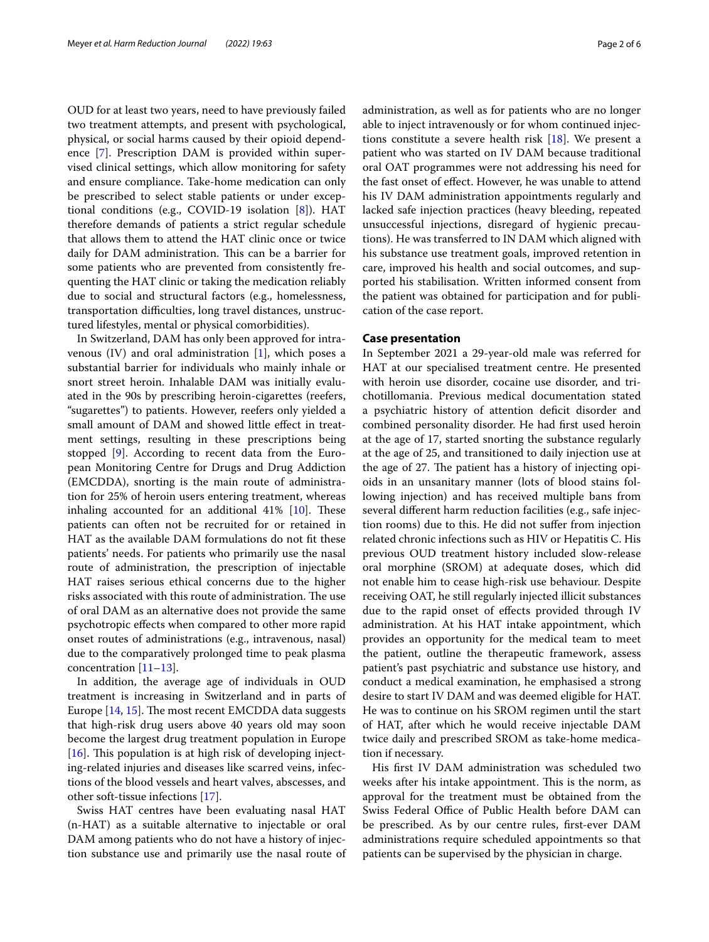OUD for at least two years, need to have previously failed two treatment attempts, and present with psychological, physical, or social harms caused by their opioid dependence [\[7](#page-4-5)]. Prescription DAM is provided within supervised clinical settings, which allow monitoring for safety and ensure compliance. Take-home medication can only be prescribed to select stable patients or under exceptional conditions (e.g., COVID-19 isolation [\[8](#page-4-6)]). HAT therefore demands of patients a strict regular schedule that allows them to attend the HAT clinic once or twice daily for DAM administration. This can be a barrier for some patients who are prevented from consistently frequenting the HAT clinic or taking the medication reliably due to social and structural factors (e.g., homelessness, transportation difficulties, long travel distances, unstructured lifestyles, mental or physical comorbidities).

In Switzerland, DAM has only been approved for intravenous  $(IV)$  and oral administration  $[1]$  $[1]$  $[1]$ , which poses a substantial barrier for individuals who mainly inhale or snort street heroin. Inhalable DAM was initially evaluated in the 90s by prescribing heroin-cigarettes (reefers, "sugarettes") to patients. However, reefers only yielded a small amount of DAM and showed little effect in treatment settings, resulting in these prescriptions being stopped [\[9](#page-4-7)]. According to recent data from the European Monitoring Centre for Drugs and Drug Addiction (EMCDDA), snorting is the main route of administration for 25% of heroin users entering treatment, whereas inhaling accounted for an additional  $41\%$  [\[10](#page-4-8)]. These patients can often not be recruited for or retained in HAT as the available DAM formulations do not ft these patients' needs. For patients who primarily use the nasal route of administration, the prescription of injectable HAT raises serious ethical concerns due to the higher risks associated with this route of administration. The use of oral DAM as an alternative does not provide the same psychotropic efects when compared to other more rapid onset routes of administrations (e.g., intravenous, nasal) due to the comparatively prolonged time to peak plasma concentration [\[11](#page-4-9)–[13\]](#page-5-0).

In addition, the average age of individuals in OUD treatment is increasing in Switzerland and in parts of Europe  $[14, 15]$  $[14, 15]$  $[14, 15]$ . The most recent EMCDDA data suggests that high-risk drug users above 40 years old may soon become the largest drug treatment population in Europe [ $16$ ]. This population is at high risk of developing injecting-related injuries and diseases like scarred veins, infections of the blood vessels and heart valves, abscesses, and other soft-tissue infections [\[17\]](#page-5-4).

Swiss HAT centres have been evaluating nasal HAT (n-HAT) as a suitable alternative to injectable or oral DAM among patients who do not have a history of injection substance use and primarily use the nasal route of administration, as well as for patients who are no longer able to inject intravenously or for whom continued injections constitute a severe health risk [\[18\]](#page-5-5). We present a patient who was started on IV DAM because traditional oral OAT programmes were not addressing his need for the fast onset of efect. However, he was unable to attend his IV DAM administration appointments regularly and lacked safe injection practices (heavy bleeding, repeated unsuccessful injections, disregard of hygienic precautions). He was transferred to IN DAM which aligned with his substance use treatment goals, improved retention in care, improved his health and social outcomes, and supported his stabilisation. Written informed consent from the patient was obtained for participation and for publication of the case report.

## **Case presentation**

In September 2021 a 29-year-old male was referred for HAT at our specialised treatment centre. He presented with heroin use disorder, cocaine use disorder, and trichotillomania. Previous medical documentation stated a psychiatric history of attention deficit disorder and combined personality disorder. He had frst used heroin at the age of 17, started snorting the substance regularly at the age of 25, and transitioned to daily injection use at the age of 27. The patient has a history of injecting opioids in an unsanitary manner (lots of blood stains following injection) and has received multiple bans from several diferent harm reduction facilities (e.g., safe injection rooms) due to this. He did not sufer from injection related chronic infections such as HIV or Hepatitis C. His previous OUD treatment history included slow-release oral morphine (SROM) at adequate doses, which did not enable him to cease high-risk use behaviour. Despite receiving OAT, he still regularly injected illicit substances due to the rapid onset of efects provided through IV administration. At his HAT intake appointment, which provides an opportunity for the medical team to meet the patient, outline the therapeutic framework, assess patient's past psychiatric and substance use history, and conduct a medical examination, he emphasised a strong desire to start IV DAM and was deemed eligible for HAT. He was to continue on his SROM regimen until the start of HAT, after which he would receive injectable DAM twice daily and prescribed SROM as take-home medication if necessary.

His frst IV DAM administration was scheduled two weeks after his intake appointment. This is the norm, as approval for the treatment must be obtained from the Swiss Federal Office of Public Health before DAM can be prescribed. As by our centre rules, frst-ever DAM administrations require scheduled appointments so that patients can be supervised by the physician in charge.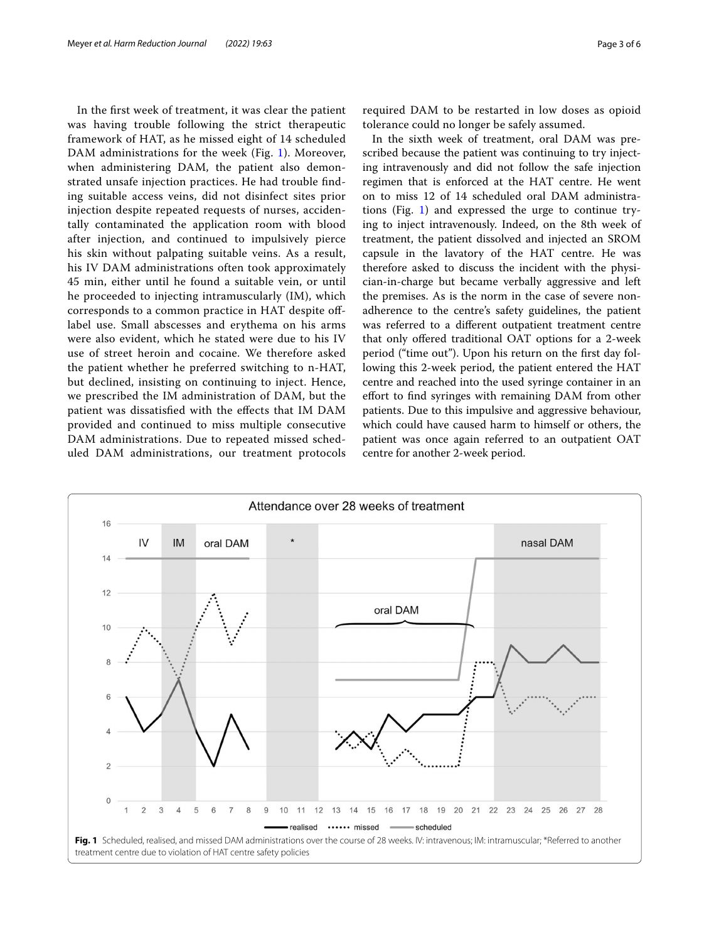In the frst week of treatment, it was clear the patient was having trouble following the strict therapeutic framework of HAT, as he missed eight of 14 scheduled DAM administrations for the week (Fig. [1](#page-2-0)). Moreover, when administering DAM, the patient also demonstrated unsafe injection practices. He had trouble fnding suitable access veins, did not disinfect sites prior injection despite repeated requests of nurses, accidentally contaminated the application room with blood after injection, and continued to impulsively pierce his skin without palpating suitable veins. As a result, his IV DAM administrations often took approximately 45 min, either until he found a suitable vein, or until he proceeded to injecting intramuscularly (IM), which corresponds to a common practice in HAT despite oflabel use. Small abscesses and erythema on his arms were also evident, which he stated were due to his IV use of street heroin and cocaine. We therefore asked the patient whether he preferred switching to n-HAT, but declined, insisting on continuing to inject. Hence, we prescribed the IM administration of DAM, but the patient was dissatisfed with the efects that IM DAM provided and continued to miss multiple consecutive DAM administrations. Due to repeated missed scheduled DAM administrations, our treatment protocols

required DAM to be restarted in low doses as opioid tolerance could no longer be safely assumed.

In the sixth week of treatment, oral DAM was prescribed because the patient was continuing to try injecting intravenously and did not follow the safe injection regimen that is enforced at the HAT centre. He went on to miss 12 of 14 scheduled oral DAM administrations (Fig. [1](#page-2-0)) and expressed the urge to continue trying to inject intravenously. Indeed, on the 8th week of treatment, the patient dissolved and injected an SROM capsule in the lavatory of the HAT centre. He was therefore asked to discuss the incident with the physician-in-charge but became verbally aggressive and left the premises. As is the norm in the case of severe nonadherence to the centre's safety guidelines, the patient was referred to a diferent outpatient treatment centre that only ofered traditional OAT options for a 2-week period ("time out"). Upon his return on the frst day following this 2-week period, the patient entered the HAT centre and reached into the used syringe container in an efort to fnd syringes with remaining DAM from other patients. Due to this impulsive and aggressive behaviour, which could have caused harm to himself or others, the patient was once again referred to an outpatient OAT centre for another 2-week period.

<span id="page-2-0"></span>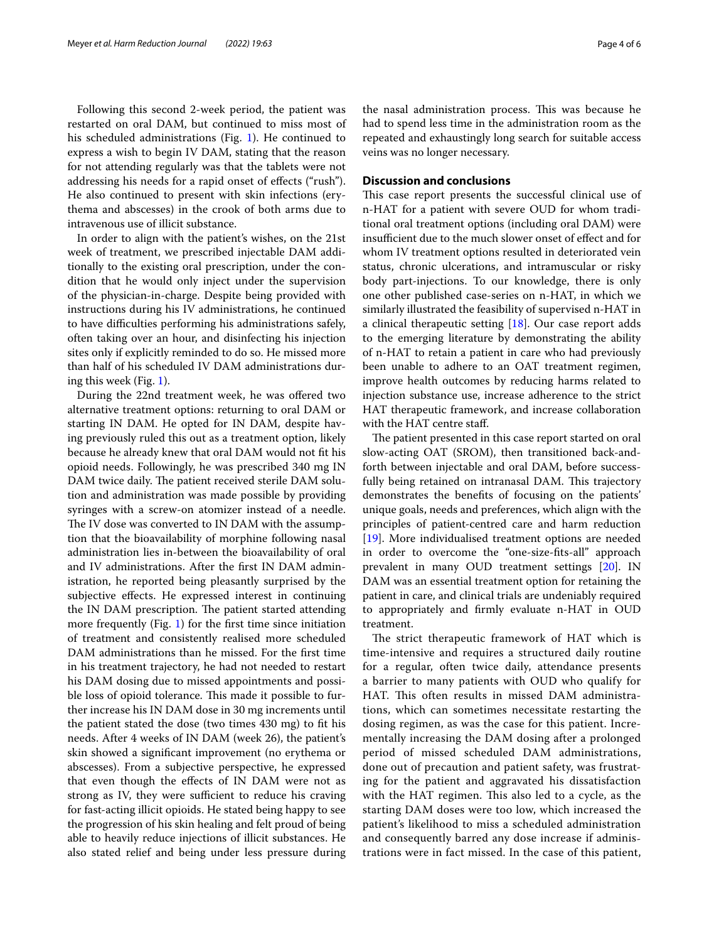Following this second 2-week period, the patient was restarted on oral DAM, but continued to miss most of his scheduled administrations (Fig. [1](#page-2-0)). He continued to express a wish to begin IV DAM, stating that the reason for not attending regularly was that the tablets were not addressing his needs for a rapid onset of efects ("rush"). He also continued to present with skin infections (erythema and abscesses) in the crook of both arms due to intravenous use of illicit substance.

In order to align with the patient's wishes, on the 21st week of treatment, we prescribed injectable DAM additionally to the existing oral prescription, under the condition that he would only inject under the supervision of the physician-in-charge. Despite being provided with instructions during his IV administrations, he continued to have difculties performing his administrations safely, often taking over an hour, and disinfecting his injection sites only if explicitly reminded to do so. He missed more than half of his scheduled IV DAM administrations during this week (Fig. [1\)](#page-2-0).

During the 22nd treatment week, he was ofered two alternative treatment options: returning to oral DAM or starting IN DAM. He opted for IN DAM, despite having previously ruled this out as a treatment option, likely because he already knew that oral DAM would not ft his opioid needs. Followingly, he was prescribed 340 mg IN DAM twice daily. The patient received sterile DAM solution and administration was made possible by providing syringes with a screw-on atomizer instead of a needle. The IV dose was converted to IN DAM with the assumption that the bioavailability of morphine following nasal administration lies in-between the bioavailability of oral and IV administrations. After the frst IN DAM administration, he reported being pleasantly surprised by the subjective effects. He expressed interest in continuing the IN DAM prescription. The patient started attending more frequently (Fig. [1\)](#page-2-0) for the frst time since initiation of treatment and consistently realised more scheduled DAM administrations than he missed. For the frst time in his treatment trajectory, he had not needed to restart his DAM dosing due to missed appointments and possible loss of opioid tolerance. This made it possible to further increase his IN DAM dose in 30 mg increments until the patient stated the dose (two times 430 mg) to ft his needs. After 4 weeks of IN DAM (week 26), the patient's skin showed a signifcant improvement (no erythema or abscesses). From a subjective perspective, he expressed that even though the efects of IN DAM were not as strong as IV, they were sufficient to reduce his craving for fast-acting illicit opioids. He stated being happy to see the progression of his skin healing and felt proud of being able to heavily reduce injections of illicit substances. He also stated relief and being under less pressure during the nasal administration process. This was because he had to spend less time in the administration room as the repeated and exhaustingly long search for suitable access veins was no longer necessary.

# **Discussion and conclusions**

This case report presents the successful clinical use of n-HAT for a patient with severe OUD for whom traditional oral treatment options (including oral DAM) were insufficient due to the much slower onset of effect and for whom IV treatment options resulted in deteriorated vein status, chronic ulcerations, and intramuscular or risky body part-injections. To our knowledge, there is only one other published case-series on n-HAT, in which we similarly illustrated the feasibility of supervised n-HAT in a clinical therapeutic setting [\[18\]](#page-5-5). Our case report adds to the emerging literature by demonstrating the ability of n-HAT to retain a patient in care who had previously been unable to adhere to an OAT treatment regimen, improve health outcomes by reducing harms related to injection substance use, increase adherence to the strict HAT therapeutic framework, and increase collaboration with the HAT centre staf.

The patient presented in this case report started on oral slow-acting OAT (SROM), then transitioned back-andforth between injectable and oral DAM, before successfully being retained on intranasal DAM. This trajectory demonstrates the benefts of focusing on the patients' unique goals, needs and preferences, which align with the principles of patient-centred care and harm reduction [[19\]](#page-5-6). More individualised treatment options are needed in order to overcome the "one-size-fts-all" approach prevalent in many OUD treatment settings [[20](#page-5-7)]. IN DAM was an essential treatment option for retaining the patient in care, and clinical trials are undeniably required to appropriately and frmly evaluate n-HAT in OUD treatment.

The strict therapeutic framework of HAT which is time-intensive and requires a structured daily routine for a regular, often twice daily, attendance presents a barrier to many patients with OUD who qualify for HAT. This often results in missed DAM administrations, which can sometimes necessitate restarting the dosing regimen, as was the case for this patient. Incrementally increasing the DAM dosing after a prolonged period of missed scheduled DAM administrations, done out of precaution and patient safety, was frustrating for the patient and aggravated his dissatisfaction with the HAT regimen. This also led to a cycle, as the starting DAM doses were too low, which increased the patient's likelihood to miss a scheduled administration and consequently barred any dose increase if administrations were in fact missed. In the case of this patient,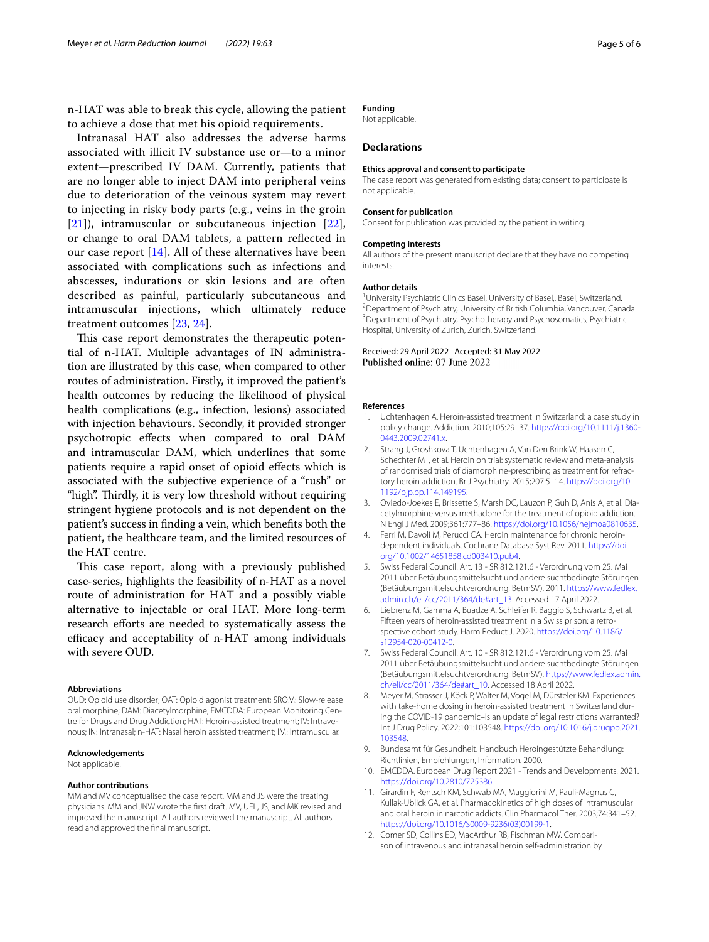n-HAT was able to break this cycle, allowing the patient to achieve a dose that met his opioid requirements.

Intranasal HAT also addresses the adverse harms associated with illicit IV substance use or—to a minor extent—prescribed IV DAM. Currently, patients that are no longer able to inject DAM into peripheral veins due to deterioration of the veinous system may revert to injecting in risky body parts (e.g., veins in the groin [[21](#page-5-8)]), intramuscular or subcutaneous injection [[22\]](#page-5-9), or change to oral DAM tablets, a pattern refected in our case report [\[14\]](#page-5-1). All of these alternatives have been associated with complications such as infections and abscesses, indurations or skin lesions and are often described as painful, particularly subcutaneous and intramuscular injections, which ultimately reduce treatment outcomes [\[23](#page-5-10), [24](#page-5-11)].

This case report demonstrates the therapeutic potential of n-HAT. Multiple advantages of IN administration are illustrated by this case, when compared to other routes of administration. Firstly, it improved the patient's health outcomes by reducing the likelihood of physical health complications (e.g., infection, lesions) associated with injection behaviours. Secondly, it provided stronger psychotropic efects when compared to oral DAM and intramuscular DAM, which underlines that some patients require a rapid onset of opioid efects which is associated with the subjective experience of a "rush" or "high". Thirdly, it is very low threshold without requiring stringent hygiene protocols and is not dependent on the patient's success in fnding a vein, which benefts both the patient, the healthcare team, and the limited resources of the HAT centre.

This case report, along with a previously published case-series, highlights the feasibility of n-HAT as a novel route of administration for HAT and a possibly viable alternative to injectable or oral HAT. More long-term research efforts are needed to systematically assess the efficacy and acceptability of n-HAT among individuals with severe OUD.

#### **Abbreviations**

OUD: Opioid use disorder; OAT: Opioid agonist treatment; SROM: Slow-release oral morphine; DAM: Diacetylmorphine; EMCDDA: European Monitoring Centre for Drugs and Drug Addiction; HAT: Heroin-assisted treatment; IV: Intravenous; IN: Intranasal; n-HAT: Nasal heroin assisted treatment; IM: Intramuscular.

#### **Acknowledgements**

Not applicable.

## **Author contributions**

MM and MV conceptualised the case report. MM and JS were the treating physicians. MM and JNW wrote the frst draft. MV, UEL, JS, and MK revised and improved the manuscript. All authors reviewed the manuscript. All authors read and approved the fnal manuscript.

# **Funding**

Not applicable.

# **Declarations**

#### **Ethics approval and consent to participate**

The case report was generated from existing data; consent to participate is not applicable.

#### **Consent for publication**

Consent for publication was provided by the patient in writing.

#### **Competing interests**

All authors of the present manuscript declare that they have no competing interests.

#### **Author details**

<sup>1</sup> University Psychiatric Clinics Basel, University of Basel, Basel, Switzerland.<br><sup>2</sup> Department of Psychiatry University of British Columbia Vancouver Cap: <sup>2</sup> Department of Psychiatry, University of British Columbia, Vancouver, Canada. <sup>3</sup> Department of Psychiatry, Psychotherapy and Psychosomatics, Psychiatric Hospital, University of Zurich, Zurich, Switzerland.

# Received: 29 April 2022 Accepted: 31 May 2022

#### **References**

- <span id="page-4-0"></span>1. Uchtenhagen A. Heroin-assisted treatment in Switzerland: a case study in policy change. Addiction. 2010;105:29–37. [https://doi.org/10.1111/j.1360-](https://doi.org/10.1111/j.1360-0443.2009.02741.x) [0443.2009.02741.x](https://doi.org/10.1111/j.1360-0443.2009.02741.x).
- <span id="page-4-1"></span>2. Strang J, Groshkova T, Uchtenhagen A, Van Den Brink W, Haasen C, Schechter MT, et al. Heroin on trial: systematic review and meta-analysis of randomised trials of diamorphine-prescribing as treatment for refractory heroin addiction. Br J Psychiatry. 2015;207:5–14. [https://doi.org/10.](https://doi.org/10.1192/bjp.bp.114.149195) [1192/bjp.bp.114.149195.](https://doi.org/10.1192/bjp.bp.114.149195)
- 3. Oviedo-Joekes E, Brissette S, Marsh DC, Lauzon P, Guh D, Anis A, et al. Diacetylmorphine versus methadone for the treatment of opioid addiction. N Engl J Med. 2009;361:777–86. <https://doi.org/10.1056/nejmoa0810635>.
- <span id="page-4-2"></span>4. Ferri M, Davoli M, Perucci CA. Heroin maintenance for chronic heroindependent individuals. Cochrane Database Syst Rev. 2011. [https://doi.](https://doi.org/10.1002/14651858.cd003410.pub4) [org/10.1002/14651858.cd003410.pub4.](https://doi.org/10.1002/14651858.cd003410.pub4)
- <span id="page-4-3"></span>5. Swiss Federal Council. Art. 13 - SR 812.121.6 - Verordnung vom 25. Mai 2011 über Betäubungsmittelsucht und andere suchtbedingte Störungen (Betäubungsmittelsuchtverordnung, BetmSV). 2011. [https://www.fedlex.](https://www.fedlex.admin.ch/eli/cc/2011/364/de#art_13) [admin.ch/eli/cc/2011/364/de#art\\_13](https://www.fedlex.admin.ch/eli/cc/2011/364/de#art_13). Accessed 17 April 2022.
- <span id="page-4-4"></span>6. Liebrenz M, Gamma A, Buadze A, Schleifer R, Baggio S, Schwartz B, et al. Fifteen years of heroin-assisted treatment in a Swiss prison: a retrospective cohort study. Harm Reduct J. 2020. [https://doi.org/10.1186/](https://doi.org/10.1186/s12954-020-00412-0) [s12954-020-00412-0](https://doi.org/10.1186/s12954-020-00412-0).
- <span id="page-4-5"></span>7. Swiss Federal Council. Art. 10 - SR 812.121.6 - Verordnung vom 25. Mai 2011 über Betäubungsmittelsucht und andere suchtbedingte Störungen (Betäubungsmittelsuchtverordnung, BetmSV). [https://www.fedlex.admin.](https://www.fedlex.admin.ch/eli/cc/2011/364/de#art_10) [ch/eli/cc/2011/364/de#art\\_10.](https://www.fedlex.admin.ch/eli/cc/2011/364/de#art_10) Accessed 18 April 2022.
- <span id="page-4-6"></span>8. Meyer M, Strasser J, Köck P, Walter M, Vogel M, Dürsteler KM. Experiences with take-home dosing in heroin-assisted treatment in Switzerland during the COVID-19 pandemic–Is an update of legal restrictions warranted? Int J Drug Policy. 2022;101:103548. [https://doi.org/10.1016/j.drugpo.2021.](https://doi.org/10.1016/j.drugpo.2021.103548) [103548.](https://doi.org/10.1016/j.drugpo.2021.103548)
- <span id="page-4-7"></span>9. Bundesamt für Gesundheit. Handbuch Heroingestützte Behandlung: Richtlinien, Empfehlungen, Information. 2000.
- <span id="page-4-8"></span>10. EMCDDA. European Drug Report 2021 - Trends and Developments. 2021. [https://doi.org/10.2810/725386.](https://doi.org/10.2810/725386)
- <span id="page-4-9"></span>11. Girardin F, Rentsch KM, Schwab MA, Maggiorini M, Pauli-Magnus C, Kullak-Ublick GA, et al. Pharmacokinetics of high doses of intramuscular and oral heroin in narcotic addicts. Clin Pharmacol Ther. 2003;74:341–52. [https://doi.org/10.1016/S0009-9236\(03\)00199-1](https://doi.org/10.1016/S0009-9236(03)00199-1).
- 12. Comer SD, Collins ED, MacArthur RB, Fischman MW. Comparison of intravenous and intranasal heroin self-administration by